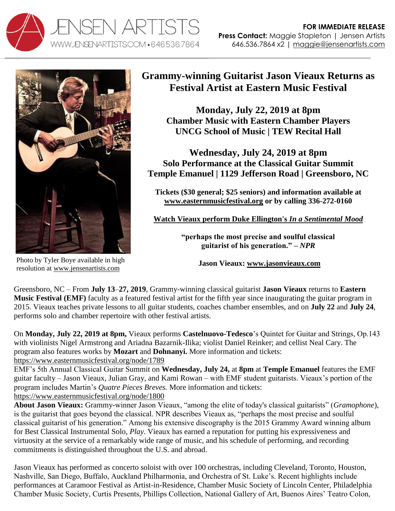



Photo by Tyler Boye available in high resolution at [www.jensenartists.com](http://www.jensenartists.com/)

## **Grammy-winning Guitarist Jason Vieaux Returns as Festival Artist at Eastern Music Festival**

**Monday, July 22, 2019 at 8pm Chamber Music with Eastern Chamber Players UNCG School of Music | TEW Recital Hall**

**Wednesday, July 24, 2019 at 8pm Solo Performance at the Classical Guitar Summit Temple Emanuel | 1129 Jefferson Road | Greensboro, NC**

**Tickets (\$30 general; \$25 seniors) and information available at [www.easternmusicfestival.org](http://www.easternmusicfestival.org/) or by calling 336-272-0160**

**[Watch Vieaux perform Duke Ellington's](http://www.youtube.com/watch?v=6Mod9vYk4IE)** *In a Sentimental Mood*

**"perhaps the most precise and soulful classical guitarist of his generation." –** *NPR*

**Jason Vieaux: [www.jasonvieaux.com](http://www.jasonvieaux.com/)**

Greensboro, NC – From **July 13**–**27, 2019**, Grammy-winning classical guitarist **Jason Vieaux** returns to **Eastern Music Festival (EMF)** faculty as a featured festival artist for the fifth year since inaugurating the guitar program in 2015. Vieaux teaches private lessons to all guitar students, coaches chamber ensembles, and on **July 22** and **July 24**, performs solo and chamber repertoire with other festival artists.

On **Monday, July 22, 2019 at 8pm,** Vieaux performs **Castelnuovo-Tedesco**'s Quintet for Guitar and Strings, Op.143 with violinists Nigel Armstrong and Ariadna Bazarnik-Ilika; violist Daniel Reinker; and cellist Neal Cary. The program also features works by **Mozart** and **Dohnanyi.** More information and tickets: <https://www.easternmusicfestival.org/node/1789>

EMF's 5th Annual Classical Guitar Summit on **Wednesday, July 24,** at **8pm** at **Temple Emanuel** features the EMF guitar faculty – Jason Vieaux, Julian Gray, and Kami Rowan – with EMF student guitarists. Vieaux's portion of the program includes Martin's *Quatre Pieces Breves.* More information and tickets: <https://www.easternmusicfestival.org/node/1800>

**About Jason Vieaux:** Grammy-winner Jason Vieaux, "among the elite of today's classical guitarists" (*Gramophone*), is the guitarist that goes beyond the classical. NPR describes Vieaux as, "perhaps the most precise and soulful classical guitarist of his generation." Among his extensive discography is the 2015 Grammy Award winning album for Best Classical Instrumental Solo, *Play*. Vieaux has earned a reputation for putting his expressiveness and virtuosity at the service of a remarkably wide range of music, and his schedule of performing, and recording commitments is distinguished throughout the U.S. and abroad.

Jason Vieaux has performed as concerto soloist with over 100 orchestras, including Cleveland, Toronto, Houston, Nashville, San Diego, Buffalo, Auckland Philharmonia, and Orchestra of St. Luke's. Recent highlights include performances at Caramoor Festival as Artist-in-Residence, Chamber Music Society of Lincoln Center, Philadelphia Chamber Music Society, Curtis Presents, Phillips Collection, National Gallery of Art, Buenos Aires' Teatro Colon,